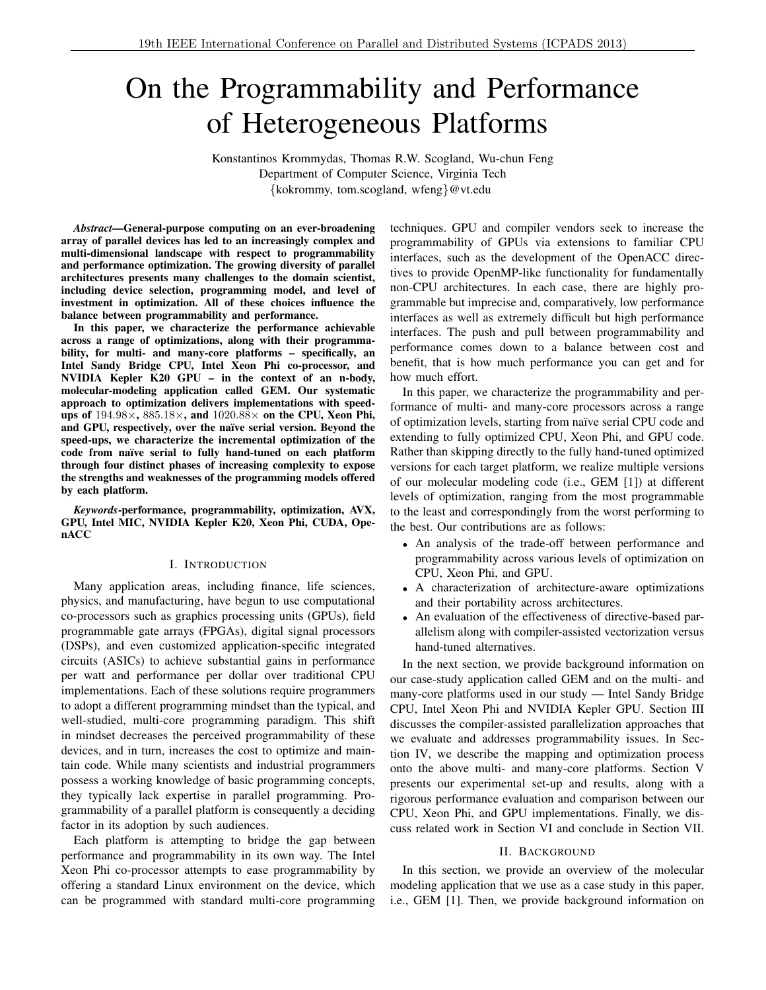# On the Programmability and Performance of Heterogeneous Platforms

Konstantinos Krommydas, Thomas R.W. Scogland, Wu-chun Feng Department of Computer Science, Virginia Tech *{*kokrommy, tom.scogland, wfeng*}*@vt.edu

*Abstract*—General-purpose computing on an ever-broadening array of parallel devices has led to an increasingly complex and multi-dimensional landscape with respect to programmability and performance optimization. The growing diversity of parallel architectures presents many challenges to the domain scientist, including device selection, programming model, and level of investment in optimization. All of these choices influence the balance between programmability and performance.

In this paper, we characterize the performance achievable across a range of optimizations, along with their programmability, for multi- and many-core platforms – specifically, an Intel Sandy Bridge CPU, Intel Xeon Phi co-processor, and NVIDIA Kepler K20 GPU – in the context of an n-body, molecular-modeling application called GEM. Our systematic approach to optimization delivers implementations with speedups of 194.98 $\times$ , 885.18 $\times$ , and 1020.88 $\times$  on the CPU, Xeon Phi, and GPU, respectively, over the naïve serial version. Beyond the speed-ups, we characterize the incremental optimization of the code from naïve serial to fully hand-tuned on each platform through four distinct phases of increasing complexity to expose the strengths and weaknesses of the programming models offered by each platform.

*Keywords*-performance, programmability, optimization, AVX, GPU, Intel MIC, NVIDIA Kepler K20, Xeon Phi, CUDA, OpenACC

## I. INTRODUCTION

Many application areas, including finance, life sciences, physics, and manufacturing, have begun to use computational co-processors such as graphics processing units (GPUs), field programmable gate arrays (FPGAs), digital signal processors (DSPs), and even customized application-specific integrated circuits (ASICs) to achieve substantial gains in performance per watt and performance per dollar over traditional CPU implementations. Each of these solutions require programmers to adopt a different programming mindset than the typical, and well-studied, multi-core programming paradigm. This shift in mindset decreases the perceived programmability of these devices, and in turn, increases the cost to optimize and maintain code. While many scientists and industrial programmers possess a working knowledge of basic programming concepts, they typically lack expertise in parallel programming. Programmability of a parallel platform is consequently a deciding factor in its adoption by such audiences.

Each platform is attempting to bridge the gap between performance and programmability in its own way. The Intel Xeon Phi co-processor attempts to ease programmability by offering a standard Linux environment on the device, which can be programmed with standard multi-core programming techniques. GPU and compiler vendors seek to increase the programmability of GPUs via extensions to familiar CPU interfaces, such as the development of the OpenACC directives to provide OpenMP-like functionality for fundamentally non-CPU architectures. In each case, there are highly programmable but imprecise and, comparatively, low performance interfaces as well as extremely difficult but high performance interfaces. The push and pull between programmability and performance comes down to a balance between cost and benefit, that is how much performance you can get and for how much effort.

In this paper, we characterize the programmability and performance of multi- and many-core processors across a range of optimization levels, starting from naïve serial CPU code and extending to fully optimized CPU, Xeon Phi, and GPU code. Rather than skipping directly to the fully hand-tuned optimized versions for each target platform, we realize multiple versions of our molecular modeling code (i.e., GEM [1]) at different levels of optimization, ranging from the most programmable to the least and correspondingly from the worst performing to the best. Our contributions are as follows:

- *•* An analysis of the trade-off between performance and programmability across various levels of optimization on CPU, Xeon Phi, and GPU.
- *•* A characterization of architecture-aware optimizations and their portability across architectures.
- An evaluation of the effectiveness of directive-based parallelism along with compiler-assisted vectorization versus hand-tuned alternatives.

In the next section, we provide background information on our case-study application called GEM and on the multi- and many-core platforms used in our study — Intel Sandy Bridge CPU, Intel Xeon Phi and NVIDIA Kepler GPU. Section III discusses the compiler-assisted parallelization approaches that we evaluate and addresses programmability issues. In Section IV, we describe the mapping and optimization process onto the above multi- and many-core platforms. Section V presents our experimental set-up and results, along with a rigorous performance evaluation and comparison between our CPU, Xeon Phi, and GPU implementations. Finally, we discuss related work in Section VI and conclude in Section VII.

#### II. BACKGROUND

In this section, we provide an overview of the molecular modeling application that we use as a case study in this paper, i.e., GEM [1]. Then, we provide background information on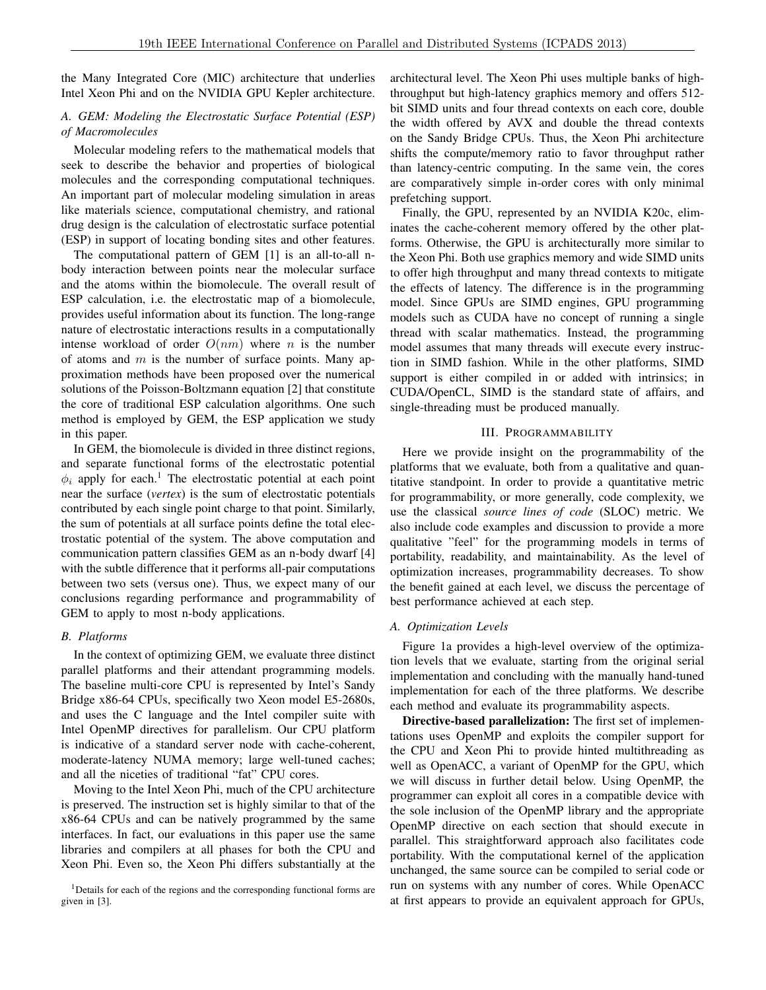the Many Integrated Core (MIC) architecture that underlies Intel Xeon Phi and on the NVIDIA GPU Kepler architecture.

# *A. GEM: Modeling the Electrostatic Surface Potential (ESP) of Macromolecules*

Molecular modeling refers to the mathematical models that seek to describe the behavior and properties of biological molecules and the corresponding computational techniques. An important part of molecular modeling simulation in areas like materials science, computational chemistry, and rational drug design is the calculation of electrostatic surface potential (ESP) in support of locating bonding sites and other features.

The computational pattern of GEM [1] is an all-to-all nbody interaction between points near the molecular surface and the atoms within the biomolecule. The overall result of ESP calculation, i.e. the electrostatic map of a biomolecule, provides useful information about its function. The long-range nature of electrostatic interactions results in a computationally intense workload of order  $O(nm)$  where *n* is the number of atoms and *m* is the number of surface points. Many approximation methods have been proposed over the numerical solutions of the Poisson-Boltzmann equation [2] that constitute the core of traditional ESP calculation algorithms. One such method is employed by GEM, the ESP application we study in this paper.

In GEM, the biomolecule is divided in three distinct regions, and separate functional forms of the electrostatic potential  $\phi_i$  apply for each.<sup>1</sup> The electrostatic potential at each point near the surface (*vertex*) is the sum of electrostatic potentials contributed by each single point charge to that point. Similarly, the sum of potentials at all surface points define the total electrostatic potential of the system. The above computation and communication pattern classifies GEM as an n-body dwarf [4] with the subtle difference that it performs all-pair computations between two sets (versus one). Thus, we expect many of our conclusions regarding performance and programmability of GEM to apply to most n-body applications.

## *B. Platforms*

In the context of optimizing GEM, we evaluate three distinct parallel platforms and their attendant programming models. The baseline multi-core CPU is represented by Intel's Sandy Bridge x86-64 CPUs, specifically two Xeon model E5-2680s, and uses the C language and the Intel compiler suite with Intel OpenMP directives for parallelism. Our CPU platform is indicative of a standard server node with cache-coherent, moderate-latency NUMA memory; large well-tuned caches; and all the niceties of traditional "fat" CPU cores.

Moving to the Intel Xeon Phi, much of the CPU architecture is preserved. The instruction set is highly similar to that of the x86-64 CPUs and can be natively programmed by the same interfaces. In fact, our evaluations in this paper use the same libraries and compilers at all phases for both the CPU and Xeon Phi. Even so, the Xeon Phi differs substantially at the

<sup>1</sup>Details for each of the regions and the corresponding functional forms are given in [3].

architectural level. The Xeon Phi uses multiple banks of highthroughput but high-latency graphics memory and offers 512 bit SIMD units and four thread contexts on each core, double the width offered by AVX and double the thread contexts on the Sandy Bridge CPUs. Thus, the Xeon Phi architecture shifts the compute/memory ratio to favor throughput rather than latency-centric computing. In the same vein, the cores are comparatively simple in-order cores with only minimal prefetching support.

Finally, the GPU, represented by an NVIDIA K20c, eliminates the cache-coherent memory offered by the other platforms. Otherwise, the GPU is architecturally more similar to the Xeon Phi. Both use graphics memory and wide SIMD units to offer high throughput and many thread contexts to mitigate the effects of latency. The difference is in the programming model. Since GPUs are SIMD engines, GPU programming models such as CUDA have no concept of running a single thread with scalar mathematics. Instead, the programming model assumes that many threads will execute every instruction in SIMD fashion. While in the other platforms, SIMD support is either compiled in or added with intrinsics; in CUDA/OpenCL, SIMD is the standard state of affairs, and single-threading must be produced manually.

## III. PROGRAMMABILITY

Here we provide insight on the programmability of the platforms that we evaluate, both from a qualitative and quantitative standpoint. In order to provide a quantitative metric for programmability, or more generally, code complexity, we use the classical *source lines of code* (SLOC) metric. We also include code examples and discussion to provide a more qualitative "feel" for the programming models in terms of portability, readability, and maintainability. As the level of optimization increases, programmability decreases. To show the benefit gained at each level, we discuss the percentage of best performance achieved at each step.

## *A. Optimization Levels*

Figure 1a provides a high-level overview of the optimization levels that we evaluate, starting from the original serial implementation and concluding with the manually hand-tuned implementation for each of the three platforms. We describe each method and evaluate its programmability aspects.

Directive-based parallelization: The first set of implementations uses OpenMP and exploits the compiler support for the CPU and Xeon Phi to provide hinted multithreading as well as OpenACC, a variant of OpenMP for the GPU, which we will discuss in further detail below. Using OpenMP, the programmer can exploit all cores in a compatible device with the sole inclusion of the OpenMP library and the appropriate OpenMP directive on each section that should execute in parallel. This straightforward approach also facilitates code portability. With the computational kernel of the application unchanged, the same source can be compiled to serial code or run on systems with any number of cores. While OpenACC at first appears to provide an equivalent approach for GPUs,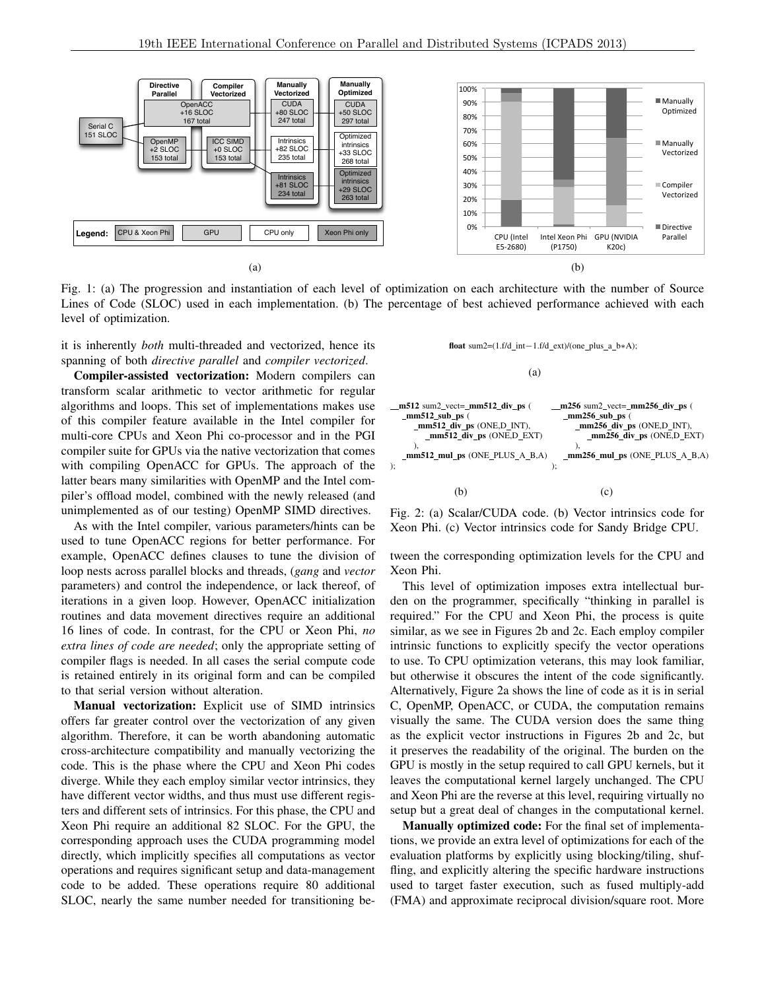

Fig. 1: (a) The progression and instantiation of each level of optimization on each architecture with the number of Source Lines of Code (SLOC) used in each implementation. (b) The percentage of best achieved performance achieved with each level of optimization.

it is inherently *both* multi-threaded and vectorized, hence its spanning of both *directive parallel* and *compiler vectorized*.

Compiler-assisted vectorization: Modern compilers can transform scalar arithmetic to vector arithmetic for regular algorithms and loops. This set of implementations makes use of this compiler feature available in the Intel compiler for multi-core CPUs and Xeon Phi co-processor and in the PGI compiler suite for GPUs via the native vectorization that comes with compiling OpenACC for GPUs. The approach of the latter bears many similarities with OpenMP and the Intel compiler's offload model, combined with the newly released (and unimplemented as of our testing) OpenMP SIMD directives.

As with the Intel compiler, various parameters/hints can be used to tune OpenACC regions for better performance. For example, OpenACC defines clauses to tune the division of loop nests across parallel blocks and threads, (*gang* and *vector* parameters) and control the independence, or lack thereof, of iterations in a given loop. However, OpenACC initialization routines and data movement directives require an additional 16 lines of code. In contrast, for the CPU or Xeon Phi, *no extra lines of code are needed*; only the appropriate setting of compiler flags is needed. In all cases the serial compute code is retained entirely in its original form and can be compiled to that serial version without alteration.

Manual vectorization: Explicit use of SIMD intrinsics offers far greater control over the vectorization of any given algorithm. Therefore, it can be worth abandoning automatic cross-architecture compatibility and manually vectorizing the code. This is the phase where the CPU and Xeon Phi codes diverge. While they each employ similar vector intrinsics, they have different vector widths, and thus must use different registers and different sets of intrinsics. For this phase, the CPU and Xeon Phi require an additional 82 SLOC. For the GPU, the corresponding approach uses the CUDA programming model directly, which implicitly specifies all computations as vector operations and requires significant setup and data-management code to be added. These operations require 80 additional SLOC, nearly the same number needed for transitioning befloat sum2= $(1.f/d_int-1.f/d\_ext)/(one_plus_1_a_b*A);$ 

(a)



Fig. 2: (a) Scalar/CUDA code. (b) Vector intrinsics code for Xeon Phi. (c) Vector intrinsics code for Sandy Bridge CPU.

tween the corresponding optimization levels for the CPU and Xeon Phi.

This level of optimization imposes extra intellectual burden on the programmer, specifically "thinking in parallel is required." For the CPU and Xeon Phi, the process is quite similar, as we see in Figures 2b and 2c. Each employ compiler intrinsic functions to explicitly specify the vector operations to use. To CPU optimization veterans, this may look familiar, but otherwise it obscures the intent of the code significantly. Alternatively, Figure 2a shows the line of code as it is in serial C, OpenMP, OpenACC, or CUDA, the computation remains visually the same. The CUDA version does the same thing as the explicit vector instructions in Figures 2b and 2c, but it preserves the readability of the original. The burden on the GPU is mostly in the setup required to call GPU kernels, but it leaves the computational kernel largely unchanged. The CPU and Xeon Phi are the reverse at this level, requiring virtually no setup but a great deal of changes in the computational kernel.

Manually optimized code: For the final set of implementations, we provide an extra level of optimizations for each of the evaluation platforms by explicitly using blocking/tiling, shuffling, and explicitly altering the specific hardware instructions used to target faster execution, such as fused multiply-add (FMA) and approximate reciprocal division/square root. More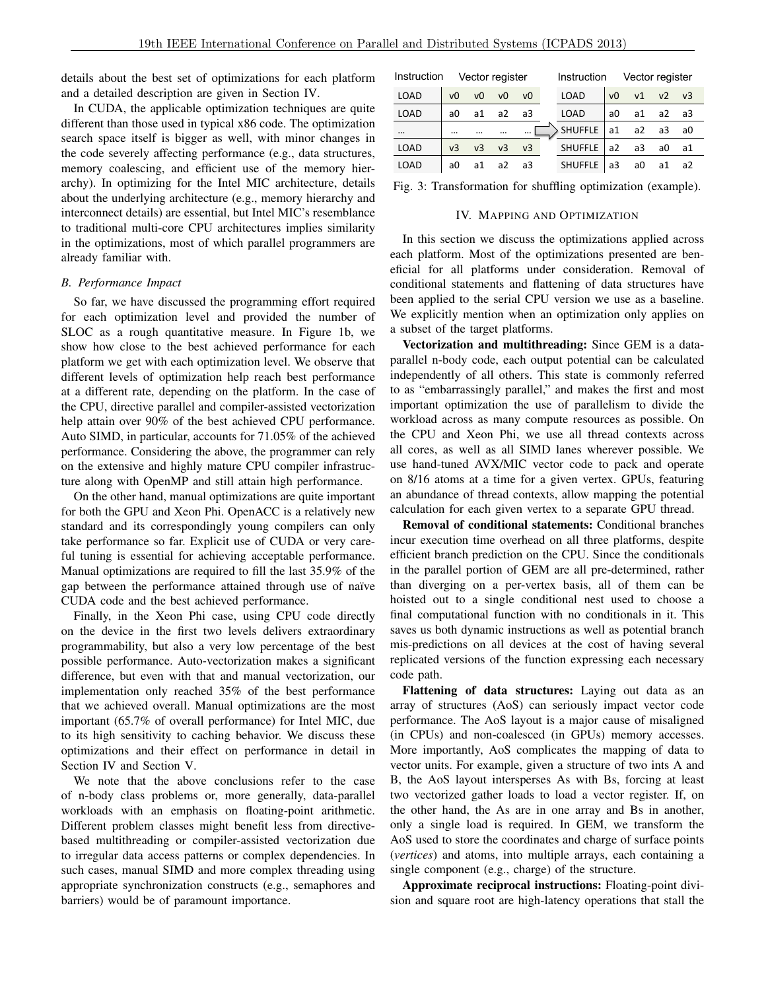details about the best set of optimizations for each platform and a detailed description are given in Section IV.

In CUDA, the applicable optimization techniques are quite different than those used in typical x86 code. The optimization search space itself is bigger as well, with minor changes in the code severely affecting performance (e.g., data structures, memory coalescing, and efficient use of the memory hierarchy). In optimizing for the Intel MIC architecture, details about the underlying architecture (e.g., memory hierarchy and interconnect details) are essential, but Intel MIC's resemblance to traditional multi-core CPU architectures implies similarity in the optimizations, most of which parallel programmers are already familiar with.

#### *B. Performance Impact*

So far, we have discussed the programming effort required for each optimization level and provided the number of SLOC as a rough quantitative measure. In Figure 1b, we show how close to the best achieved performance for each platform we get with each optimization level. We observe that different levels of optimization help reach best performance at a different rate, depending on the platform. In the case of the CPU, directive parallel and compiler-assisted vectorization help attain over 90% of the best achieved CPU performance. Auto SIMD, in particular, accounts for 71.05% of the achieved performance. Considering the above, the programmer can rely on the extensive and highly mature CPU compiler infrastructure along with OpenMP and still attain high performance.

On the other hand, manual optimizations are quite important for both the GPU and Xeon Phi. OpenACC is a relatively new standard and its correspondingly young compilers can only take performance so far. Explicit use of CUDA or very careful tuning is essential for achieving acceptable performance. Manual optimizations are required to fill the last 35.9% of the gap between the performance attained through use of naïve CUDA code and the best achieved performance.

Finally, in the Xeon Phi case, using CPU code directly on the device in the first two levels delivers extraordinary programmability, but also a very low percentage of the best possible performance. Auto-vectorization makes a significant difference, but even with that and manual vectorization, our implementation only reached 35% of the best performance that we achieved overall. Manual optimizations are the most important (65.7% of overall performance) for Intel MIC, due to its high sensitivity to caching behavior. We discuss these optimizations and their effect on performance in detail in Section IV and Section V.

We note that the above conclusions refer to the case of n-body class problems or, more generally, data-parallel workloads with an emphasis on floating-point arithmetic. Different problem classes might benefit less from directivebased multithreading or compiler-assisted vectorization due to irregular data access patterns or complex dependencies. In such cases, manual SIMD and more complex threading using appropriate synchronization constructs (e.g., semaphores and barriers) would be of paramount importance.

| Instruction<br>Vector register |                |                |                |                |  | Vector register<br>Instruction |                |                |                |       |  |
|--------------------------------|----------------|----------------|----------------|----------------|--|--------------------------------|----------------|----------------|----------------|-------|--|
| <b>LOAD</b>                    | v <sub>0</sub> | v <sub>0</sub> | v <sub>0</sub> | v <sub>0</sub> |  | LOAD                           | v <sub>0</sub> | V <sub>1</sub> | v <sub>2</sub> | $v_3$ |  |
| <b>LOAD</b>                    | аO             | a1             | a2             | a3             |  | <b>LOAD</b>                    | a <sub>0</sub> | a1             | a2             | a3    |  |
| $\cdots$                       |                |                |                | $\cdots$       |  | <b>SHUFFLE</b>                 | a1             | a2             | a <sub>3</sub> | a0    |  |
| <b>LOAD</b>                    | v <sub>3</sub> | v <sub>3</sub> | v <sub>3</sub> | v <sub>3</sub> |  | <b>SHUFFLE</b>                 | a2             | a3             | a <sub>0</sub> | а1    |  |
| <b>LOAD</b>                    | a <sub>0</sub> | a1             | a2             | a3             |  | <b>SHUFFLE</b>                 | a <sub>3</sub> | a <sub>0</sub> | a1             | a2    |  |
|                                |                |                |                |                |  |                                |                |                |                |       |  |

Fig. 3: Transformation for shuffling optimization (example).

#### IV. MAPPING AND OPTIMIZATION

In this section we discuss the optimizations applied across each platform. Most of the optimizations presented are beneficial for all platforms under consideration. Removal of conditional statements and flattening of data structures have been applied to the serial CPU version we use as a baseline. We explicitly mention when an optimization only applies on a subset of the target platforms.

Vectorization and multithreading: Since GEM is a dataparallel n-body code, each output potential can be calculated independently of all others. This state is commonly referred to as "embarrassingly parallel," and makes the first and most important optimization the use of parallelism to divide the workload across as many compute resources as possible. On the CPU and Xeon Phi, we use all thread contexts across all cores, as well as all SIMD lanes wherever possible. We use hand-tuned AVX/MIC vector code to pack and operate on 8/16 atoms at a time for a given vertex. GPUs, featuring an abundance of thread contexts, allow mapping the potential calculation for each given vertex to a separate GPU thread.

Removal of conditional statements: Conditional branches incur execution time overhead on all three platforms, despite efficient branch prediction on the CPU. Since the conditionals in the parallel portion of GEM are all pre-determined, rather than diverging on a per-vertex basis, all of them can be hoisted out to a single conditional nest used to choose a final computational function with no conditionals in it. This saves us both dynamic instructions as well as potential branch mis-predictions on all devices at the cost of having several replicated versions of the function expressing each necessary code path.

Flattening of data structures: Laying out data as an array of structures (AoS) can seriously impact vector code performance. The AoS layout is a major cause of misaligned (in CPUs) and non-coalesced (in GPUs) memory accesses. More importantly, AoS complicates the mapping of data to vector units. For example, given a structure of two ints A and B, the AoS layout intersperses As with Bs, forcing at least two vectorized gather loads to load a vector register. If, on the other hand, the As are in one array and Bs in another, only a single load is required. In GEM, we transform the AoS used to store the coordinates and charge of surface points (*vertices*) and atoms, into multiple arrays, each containing a single component (e.g., charge) of the structure.

Approximate reciprocal instructions: Floating-point division and square root are high-latency operations that stall the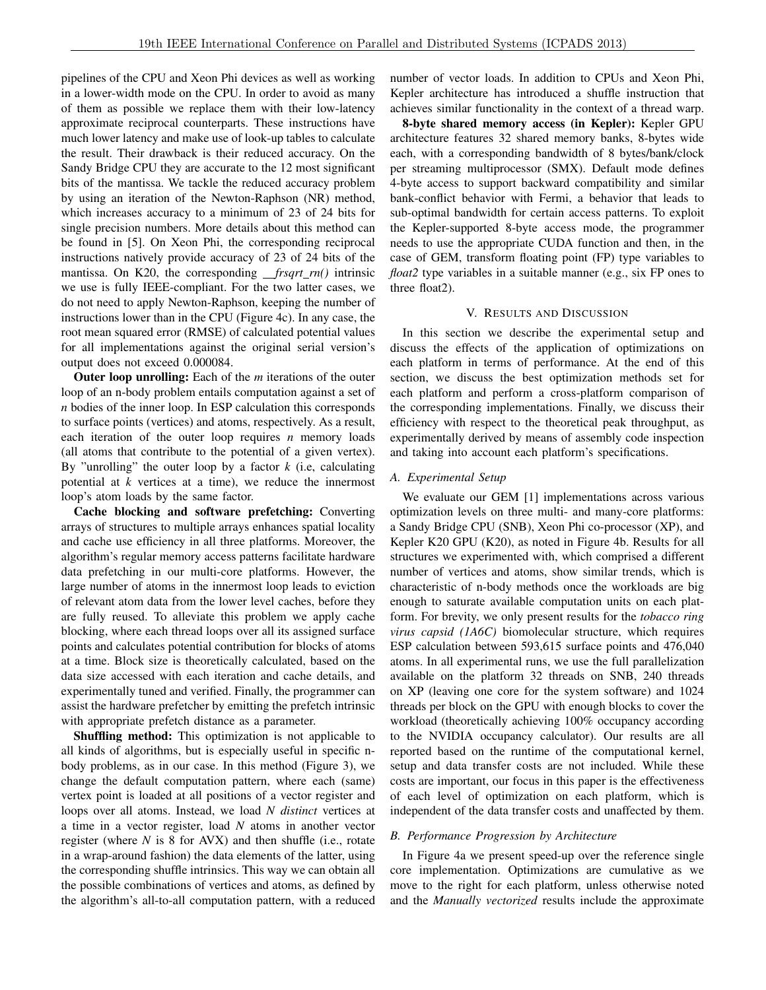pipelines of the CPU and Xeon Phi devices as well as working in a lower-width mode on the CPU. In order to avoid as many of them as possible we replace them with their low-latency approximate reciprocal counterparts. These instructions have much lower latency and make use of look-up tables to calculate the result. Their drawback is their reduced accuracy. On the Sandy Bridge CPU they are accurate to the 12 most significant bits of the mantissa. We tackle the reduced accuracy problem by using an iteration of the Newton-Raphson (NR) method, which increases accuracy to a minimum of 23 of 24 bits for single precision numbers. More details about this method can be found in [5]. On Xeon Phi, the corresponding reciprocal instructions natively provide accuracy of 23 of 24 bits of the mantissa. On K20, the corresponding *frsqrt\_rn()* intrinsic we use is fully IEEE-compliant. For the two latter cases, we do not need to apply Newton-Raphson, keeping the number of instructions lower than in the CPU (Figure 4c). In any case, the root mean squared error (RMSE) of calculated potential values for all implementations against the original serial version's output does not exceed 0.000084.

Outer loop unrolling: Each of the *m* iterations of the outer loop of an n-body problem entails computation against a set of *n* bodies of the inner loop. In ESP calculation this corresponds to surface points (vertices) and atoms, respectively. As a result, each iteration of the outer loop requires *n* memory loads (all atoms that contribute to the potential of a given vertex). By "unrolling" the outer loop by a factor *k* (i.e, calculating potential at *k* vertices at a time), we reduce the innermost loop's atom loads by the same factor.

Cache blocking and software prefetching: Converting arrays of structures to multiple arrays enhances spatial locality and cache use efficiency in all three platforms. Moreover, the algorithm's regular memory access patterns facilitate hardware data prefetching in our multi-core platforms. However, the large number of atoms in the innermost loop leads to eviction of relevant atom data from the lower level caches, before they are fully reused. To alleviate this problem we apply cache blocking, where each thread loops over all its assigned surface points and calculates potential contribution for blocks of atoms at a time. Block size is theoretically calculated, based on the data size accessed with each iteration and cache details, and experimentally tuned and verified. Finally, the programmer can assist the hardware prefetcher by emitting the prefetch intrinsic with appropriate prefetch distance as a parameter.

Shuffling method: This optimization is not applicable to all kinds of algorithms, but is especially useful in specific nbody problems, as in our case. In this method (Figure 3), we change the default computation pattern, where each (same) vertex point is loaded at all positions of a vector register and loops over all atoms. Instead, we load *N distinct* vertices at a time in a vector register, load *N* atoms in another vector register (where *N* is 8 for AVX) and then shuffle (i.e., rotate in a wrap-around fashion) the data elements of the latter, using the corresponding shuffle intrinsics. This way we can obtain all the possible combinations of vertices and atoms, as defined by the algorithm's all-to-all computation pattern, with a reduced number of vector loads. In addition to CPUs and Xeon Phi, Kepler architecture has introduced a shuffle instruction that achieves similar functionality in the context of a thread warp.

8-byte shared memory access (in Kepler): Kepler GPU architecture features 32 shared memory banks, 8-bytes wide each, with a corresponding bandwidth of 8 bytes/bank/clock per streaming multiprocessor (SMX). Default mode defines 4-byte access to support backward compatibility and similar bank-conflict behavior with Fermi, a behavior that leads to sub-optimal bandwidth for certain access patterns. To exploit the Kepler-supported 8-byte access mode, the programmer needs to use the appropriate CUDA function and then, in the case of GEM, transform floating point (FP) type variables to *float2* type variables in a suitable manner (e.g., six FP ones to three float2).

#### V. RESULTS AND DISCUSSION

In this section we describe the experimental setup and discuss the effects of the application of optimizations on each platform in terms of performance. At the end of this section, we discuss the best optimization methods set for each platform and perform a cross-platform comparison of the corresponding implementations. Finally, we discuss their efficiency with respect to the theoretical peak throughput, as experimentally derived by means of assembly code inspection and taking into account each platform's specifications.

#### *A. Experimental Setup*

We evaluate our GEM [1] implementations across various optimization levels on three multi- and many-core platforms: a Sandy Bridge CPU (SNB), Xeon Phi co-processor (XP), and Kepler K20 GPU (K20), as noted in Figure 4b. Results for all structures we experimented with, which comprised a different number of vertices and atoms, show similar trends, which is characteristic of n-body methods once the workloads are big enough to saturate available computation units on each platform. For brevity, we only present results for the *tobacco ring virus capsid (1A6C)* biomolecular structure, which requires ESP calculation between 593,615 surface points and 476,040 atoms. In all experimental runs, we use the full parallelization available on the platform 32 threads on SNB, 240 threads on XP (leaving one core for the system software) and 1024 threads per block on the GPU with enough blocks to cover the workload (theoretically achieving 100% occupancy according to the NVIDIA occupancy calculator). Our results are all reported based on the runtime of the computational kernel, setup and data transfer costs are not included. While these costs are important, our focus in this paper is the effectiveness of each level of optimization on each platform, which is independent of the data transfer costs and unaffected by them.

#### *B. Performance Progression by Architecture*

In Figure 4a we present speed-up over the reference single core implementation. Optimizations are cumulative as we move to the right for each platform, unless otherwise noted and the *Manually vectorized* results include the approximate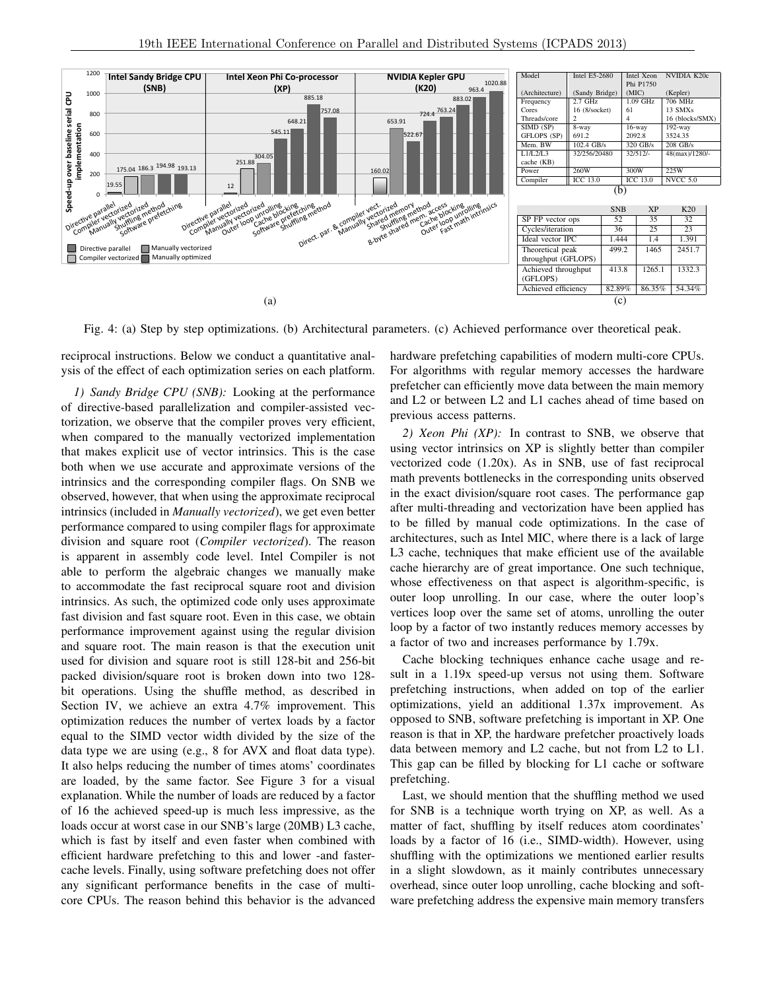

Fig. 4: (a) Step by step optimizations. (b) Architectural parameters. (c) Achieved performance over theoretical peak.

reciprocal instructions. Below we conduct a quantitative analysis of the effect of each optimization series on each platform.

*1) Sandy Bridge CPU (SNB):* Looking at the performance of directive-based parallelization and compiler-assisted vectorization, we observe that the compiler proves very efficient, when compared to the manually vectorized implementation that makes explicit use of vector intrinsics. This is the case both when we use accurate and approximate versions of the intrinsics and the corresponding compiler flags. On SNB we observed, however, that when using the approximate reciprocal intrinsics (included in *Manually vectorized*), we get even better performance compared to using compiler flags for approximate division and square root (*Compiler vectorized*). The reason is apparent in assembly code level. Intel Compiler is not able to perform the algebraic changes we manually make to accommodate the fast reciprocal square root and division intrinsics. As such, the optimized code only uses approximate fast division and fast square root. Even in this case, we obtain performance improvement against using the regular division and square root. The main reason is that the execution unit used for division and square root is still 128-bit and 256-bit packed division/square root is broken down into two 128 bit operations. Using the shuffle method, as described in Section IV, we achieve an extra 4.7% improvement. This optimization reduces the number of vertex loads by a factor equal to the SIMD vector width divided by the size of the data type we are using (e.g., 8 for AVX and float data type). It also helps reducing the number of times atoms' coordinates are loaded, by the same factor. See Figure 3 for a visual explanation. While the number of loads are reduced by a factor of 16 the achieved speed-up is much less impressive, as the loads occur at worst case in our SNB's large (20MB) L3 cache, which is fast by itself and even faster when combined with efficient hardware prefetching to this and lower -and fastercache levels. Finally, using software prefetching does not offer any significant performance benefits in the case of multicore CPUs. The reason behind this behavior is the advanced hardware prefetching capabilities of modern multi-core CPUs. For algorithms with regular memory accesses the hardware prefetcher can efficiently move data between the main memory and L2 or between L2 and L1 caches ahead of time based on previous access patterns.

*2) Xeon Phi (XP):* In contrast to SNB, we observe that using vector intrinsics on XP is slightly better than compiler vectorized code (1.20x). As in SNB, use of fast reciprocal math prevents bottlenecks in the corresponding units observed in the exact division/square root cases. The performance gap after multi-threading and vectorization have been applied has to be filled by manual code optimizations. In the case of architectures, such as Intel MIC, where there is a lack of large L<sub>3</sub> cache, techniques that make efficient use of the available cache hierarchy are of great importance. One such technique, whose effectiveness on that aspect is algorithm-specific, is outer loop unrolling. In our case, where the outer loop's vertices loop over the same set of atoms, unrolling the outer loop by a factor of two instantly reduces memory accesses by a factor of two and increases performance by 1.79x.

Cache blocking techniques enhance cache usage and result in a 1.19x speed-up versus not using them. Software prefetching instructions, when added on top of the earlier optimizations, yield an additional 1.37x improvement. As opposed to SNB, software prefetching is important in XP. One reason is that in XP, the hardware prefetcher proactively loads data between memory and L2 cache, but not from L2 to L1. This gap can be filled by blocking for L1 cache or software prefetching.

Last, we should mention that the shuffling method we used for SNB is a technique worth trying on XP, as well. As a matter of fact, shuffling by itself reduces atom coordinates' loads by a factor of 16 (i.e., SIMD-width). However, using shuffling with the optimizations we mentioned earlier results in a slight slowdown, as it mainly contributes unnecessary overhead, since outer loop unrolling, cache blocking and software prefetching address the expensive main memory transfers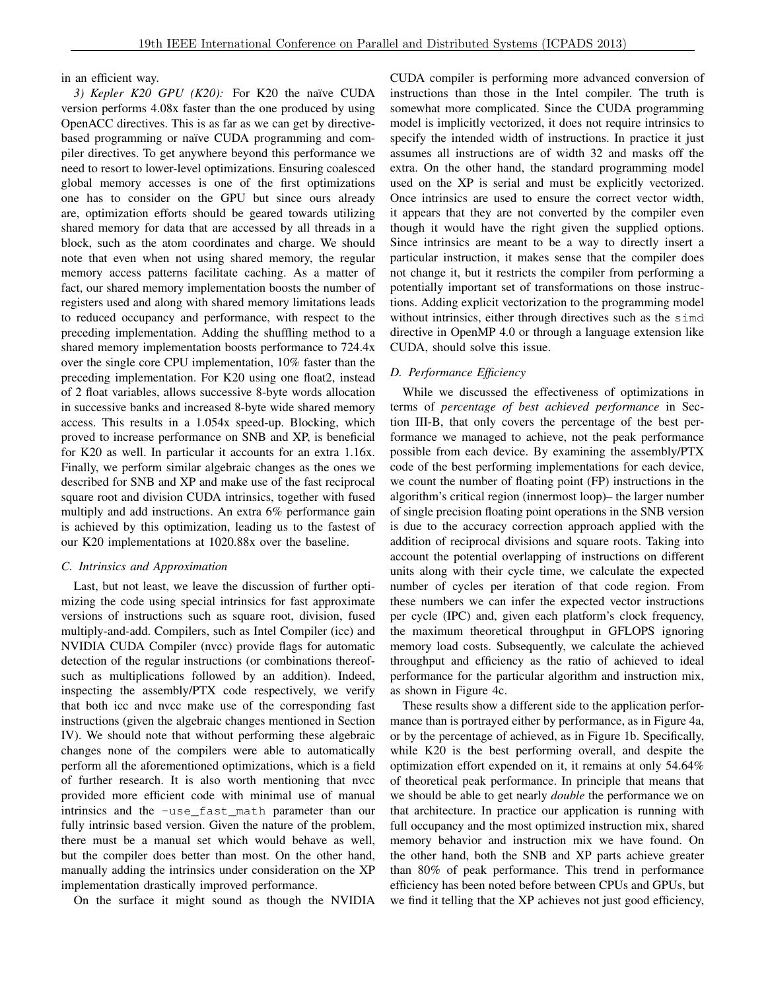#### in an efficient way.

3) Kepler K20 GPU (K20): For K20 the naïve CUDA version performs 4.08x faster than the one produced by using OpenACC directives. This is as far as we can get by directivebased programming or naïve CUDA programming and compiler directives. To get anywhere beyond this performance we need to resort to lower-level optimizations. Ensuring coalesced global memory accesses is one of the first optimizations one has to consider on the GPU but since ours already are, optimization efforts should be geared towards utilizing shared memory for data that are accessed by all threads in a block, such as the atom coordinates and charge. We should note that even when not using shared memory, the regular memory access patterns facilitate caching. As a matter of fact, our shared memory implementation boosts the number of registers used and along with shared memory limitations leads to reduced occupancy and performance, with respect to the preceding implementation. Adding the shuffling method to a shared memory implementation boosts performance to 724.4x over the single core CPU implementation, 10% faster than the preceding implementation. For K20 using one float2, instead of 2 float variables, allows successive 8-byte words allocation in successive banks and increased 8-byte wide shared memory access. This results in a 1.054x speed-up. Blocking, which proved to increase performance on SNB and XP, is beneficial for K20 as well. In particular it accounts for an extra 1.16x. Finally, we perform similar algebraic changes as the ones we described for SNB and XP and make use of the fast reciprocal square root and division CUDA intrinsics, together with fused multiply and add instructions. An extra 6% performance gain is achieved by this optimization, leading us to the fastest of our K20 implementations at 1020.88x over the baseline.

#### *C. Intrinsics and Approximation*

Last, but not least, we leave the discussion of further optimizing the code using special intrinsics for fast approximate versions of instructions such as square root, division, fused multiply-and-add. Compilers, such as Intel Compiler (icc) and NVIDIA CUDA Compiler (nvcc) provide flags for automatic detection of the regular instructions (or combinations thereofsuch as multiplications followed by an addition). Indeed, inspecting the assembly/PTX code respectively, we verify that both icc and nvcc make use of the corresponding fast instructions (given the algebraic changes mentioned in Section IV). We should note that without performing these algebraic changes none of the compilers were able to automatically perform all the aforementioned optimizations, which is a field of further research. It is also worth mentioning that nvcc provided more efficient code with minimal use of manual intrinsics and the -use\_fast\_math parameter than our fully intrinsic based version. Given the nature of the problem, there must be a manual set which would behave as well, but the compiler does better than most. On the other hand, manually adding the intrinsics under consideration on the XP implementation drastically improved performance.

On the surface it might sound as though the NVIDIA

CUDA compiler is performing more advanced conversion of instructions than those in the Intel compiler. The truth is somewhat more complicated. Since the CUDA programming model is implicitly vectorized, it does not require intrinsics to specify the intended width of instructions. In practice it just assumes all instructions are of width 32 and masks off the extra. On the other hand, the standard programming model used on the XP is serial and must be explicitly vectorized. Once intrinsics are used to ensure the correct vector width, it appears that they are not converted by the compiler even though it would have the right given the supplied options. Since intrinsics are meant to be a way to directly insert a particular instruction, it makes sense that the compiler does not change it, but it restricts the compiler from performing a potentially important set of transformations on those instructions. Adding explicit vectorization to the programming model without intrinsics, either through directives such as the simd directive in OpenMP 4.0 or through a language extension like CUDA, should solve this issue.

## *D. Performance Efficiency*

While we discussed the effectiveness of optimizations in terms of *percentage of best achieved performance* in Section III-B, that only covers the percentage of the best performance we managed to achieve, not the peak performance possible from each device. By examining the assembly/PTX code of the best performing implementations for each device, we count the number of floating point (FP) instructions in the algorithm's critical region (innermost loop)– the larger number of single precision floating point operations in the SNB version is due to the accuracy correction approach applied with the addition of reciprocal divisions and square roots. Taking into account the potential overlapping of instructions on different units along with their cycle time, we calculate the expected number of cycles per iteration of that code region. From these numbers we can infer the expected vector instructions per cycle (IPC) and, given each platform's clock frequency, the maximum theoretical throughput in GFLOPS ignoring memory load costs. Subsequently, we calculate the achieved throughput and efficiency as the ratio of achieved to ideal performance for the particular algorithm and instruction mix, as shown in Figure 4c.

These results show a different side to the application performance than is portrayed either by performance, as in Figure 4a, or by the percentage of achieved, as in Figure 1b. Specifically, while K20 is the best performing overall, and despite the optimization effort expended on it, it remains at only 54.64% of theoretical peak performance. In principle that means that we should be able to get nearly *double* the performance we on that architecture. In practice our application is running with full occupancy and the most optimized instruction mix, shared memory behavior and instruction mix we have found. On the other hand, both the SNB and XP parts achieve greater than 80% of peak performance. This trend in performance efficiency has been noted before between CPUs and GPUs, but we find it telling that the XP achieves not just good efficiency,